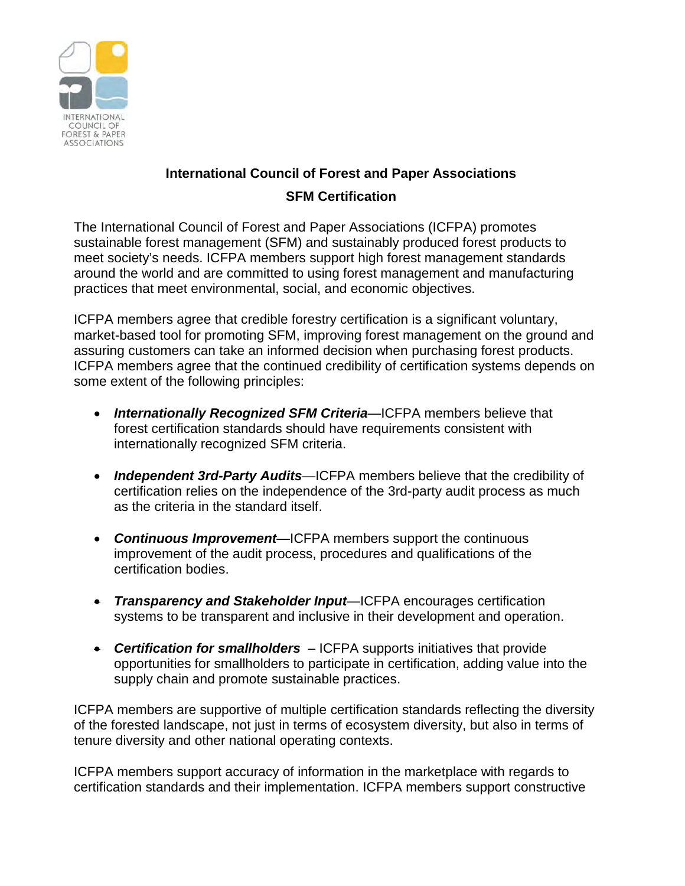

## **International Council of Forest and Paper Associations SFM Certification**

The International Council of Forest and Paper Associations (ICFPA) promotes sustainable forest management (SFM) and sustainably produced forest products to meet society's needs. ICFPA members support high forest management standards around the world and are committed to using forest management and manufacturing practices that meet environmental, social, and economic objectives.

ICFPA members agree that credible forestry certification is a significant voluntary, market-based tool for promoting SFM, improving forest management on the ground and assuring customers can take an informed decision when purchasing forest products. ICFPA members agree that the continued credibility of certification systems depends on some extent of the following principles:

- *Internationally Recognized SFM Criteria*—ICFPA members believe that forest certification standards should have requirements consistent with internationally recognized SFM criteria.
- *Independent 3rd-Party Audits*—ICFPA members believe that the credibility of certification relies on the independence of the 3rd-party audit process as much as the criteria in the standard itself.
- *Continuous Improvement*—ICFPA members support the continuous improvement of the audit process, procedures and qualifications of the certification bodies.
- *Transparency and Stakeholder Input*—ICFPA encourages certification systems to be transparent and inclusive in their development and operation.
- *Certification for smallholders* ICFPA supports initiatives that provide opportunities for smallholders to participate in certification, adding value into the supply chain and promote sustainable practices.

ICFPA members are supportive of multiple certification standards reflecting the diversity of the forested landscape, not just in terms of ecosystem diversity, but also in terms of tenure diversity and other national operating contexts.

ICFPA members support accuracy of information in the marketplace with regards to certification standards and their implementation. ICFPA members support constructive